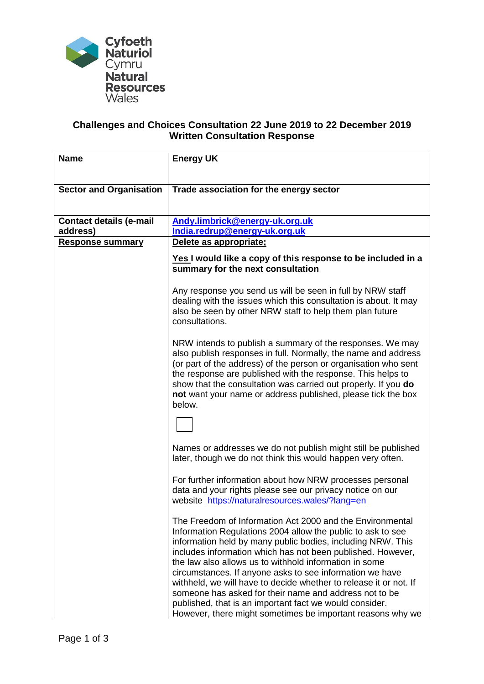

## **Challenges and Choices Consultation 22 June 2019 to 22 December 2019 Written Consultation Response**

| <b>Name</b>                    | <b>Energy UK</b>                                                                                                                                                                                                                                                                                                                                                                                                                                                                                                                                                                                                                     |
|--------------------------------|--------------------------------------------------------------------------------------------------------------------------------------------------------------------------------------------------------------------------------------------------------------------------------------------------------------------------------------------------------------------------------------------------------------------------------------------------------------------------------------------------------------------------------------------------------------------------------------------------------------------------------------|
| <b>Sector and Organisation</b> | Trade association for the energy sector                                                                                                                                                                                                                                                                                                                                                                                                                                                                                                                                                                                              |
| <b>Contact details (e-mail</b> | Andy.limbrick@energy-uk.org.uk                                                                                                                                                                                                                                                                                                                                                                                                                                                                                                                                                                                                       |
| address)                       | India.redrup@energy-uk.org.uk                                                                                                                                                                                                                                                                                                                                                                                                                                                                                                                                                                                                        |
| <b>Response summary</b>        | Delete as appropriate;<br>Yes I would like a copy of this response to be included in a<br>summary for the next consultation                                                                                                                                                                                                                                                                                                                                                                                                                                                                                                          |
|                                | Any response you send us will be seen in full by NRW staff<br>dealing with the issues which this consultation is about. It may<br>also be seen by other NRW staff to help them plan future<br>consultations.                                                                                                                                                                                                                                                                                                                                                                                                                         |
|                                | NRW intends to publish a summary of the responses. We may<br>also publish responses in full. Normally, the name and address<br>(or part of the address) of the person or organisation who sent<br>the response are published with the response. This helps to<br>show that the consultation was carried out properly. If you do<br>not want your name or address published, please tick the box<br>below.                                                                                                                                                                                                                            |
|                                | Names or addresses we do not publish might still be published<br>later, though we do not think this would happen very often.                                                                                                                                                                                                                                                                                                                                                                                                                                                                                                         |
|                                | For further information about how NRW processes personal<br>data and your rights please see our privacy notice on our<br>website https://naturalresources.wales/?lang=en                                                                                                                                                                                                                                                                                                                                                                                                                                                             |
|                                | The Freedom of Information Act 2000 and the Environmental<br>Information Regulations 2004 allow the public to ask to see<br>information held by many public bodies, including NRW. This<br>includes information which has not been published. However,<br>the law also allows us to withhold information in some<br>circumstances. If anyone asks to see information we have<br>withheld, we will have to decide whether to release it or not. If<br>someone has asked for their name and address not to be<br>published, that is an important fact we would consider.<br>However, there might sometimes be important reasons why we |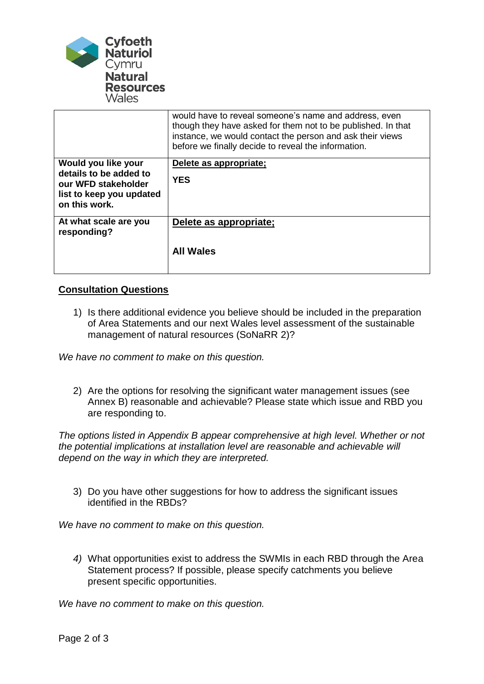

|                                               | would have to reveal someone's name and address, even<br>though they have asked for them not to be published. In that<br>instance, we would contact the person and ask their views<br>before we finally decide to reveal the information. |
|-----------------------------------------------|-------------------------------------------------------------------------------------------------------------------------------------------------------------------------------------------------------------------------------------------|
| Would you like your                           | Delete as appropriate;                                                                                                                                                                                                                    |
| details to be added to<br>our WFD stakeholder | <b>YES</b>                                                                                                                                                                                                                                |
| list to keep you updated                      |                                                                                                                                                                                                                                           |
| on this work.                                 |                                                                                                                                                                                                                                           |
| At what scale are you<br>responding?          | Delete as appropriate;                                                                                                                                                                                                                    |
|                                               | <b>All Wales</b>                                                                                                                                                                                                                          |
|                                               |                                                                                                                                                                                                                                           |

## **Consultation Questions**

1) Is there additional evidence you believe should be included in the preparation of Area Statements and our next Wales level assessment of the sustainable management of natural resources (SoNaRR 2)?

*We have no comment to make on this question.*

2) Are the options for resolving the significant water management issues (see Annex B) reasonable and achievable? Please state which issue and RBD you are responding to.

*The options listed in Appendix B appear comprehensive at high level. Whether or not the potential implications at installation level are reasonable and achievable will depend on the way in which they are interpreted.*

3) Do you have other suggestions for how to address the significant issues identified in the RBDs?

*We have no comment to make on this question.*

*4)* What opportunities exist to address the SWMIs in each RBD through the Area Statement process? If possible, please specify catchments you believe present specific opportunities.

*We have no comment to make on this question.*